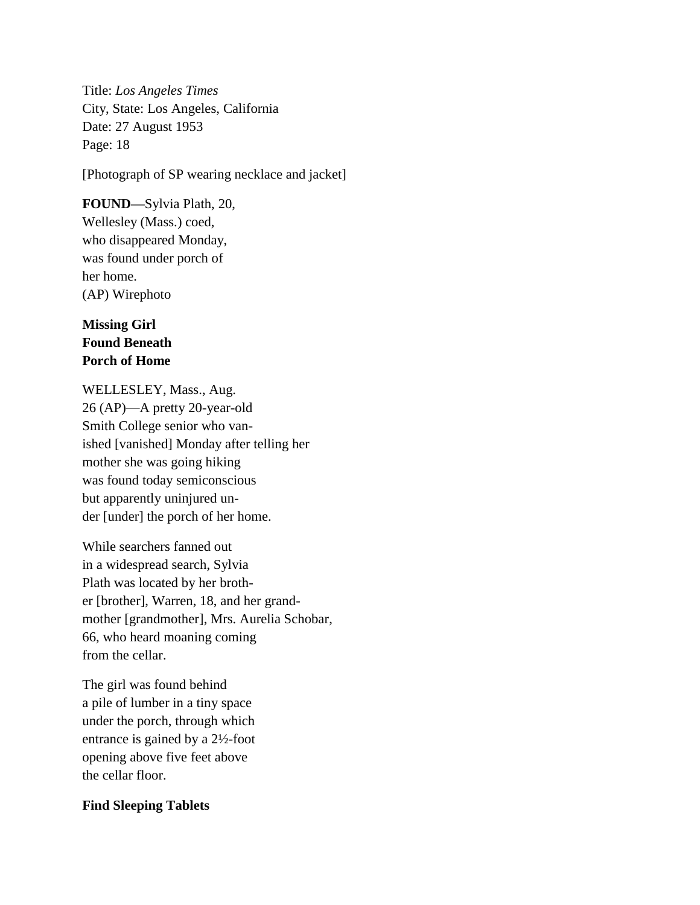Title: *Los Angeles Times* City, State: Los Angeles, California Date: 27 August 1953 Page: 18

[Photograph of SP wearing necklace and jacket]

**FOUND—**Sylvia Plath, 20, Wellesley (Mass.) coed, who disappeared Monday, was found under porch of her home. (AP) Wirephoto

## **Missing Girl Found Beneath Porch of Home**

WELLESLEY, Mass., Aug. 26 (AP)—A pretty 20-year-old Smith College senior who vanished [vanished] Monday after telling her mother she was going hiking was found today semiconscious but apparently uninjured under [under] the porch of her home.

While searchers fanned out in a widespread search, Sylvia Plath was located by her brother [brother], Warren, 18, and her grandmother [grandmother], Mrs. Aurelia Schobar, 66, who heard moaning coming from the cellar.

The girl was found behind a pile of lumber in a tiny space under the porch, through which entrance is gained by a 2½-foot opening above five feet above the cellar floor.

## **Find Sleeping Tablets**